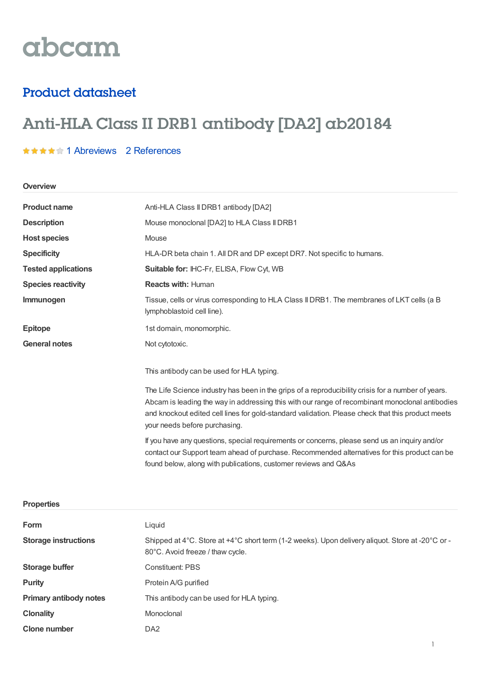# abcam

### Product datasheet

## Anti-HLA Class II DRB1 antibody [DA2] ab20184

#### **★★★★★1 [Abreviews](https://www.abcam.com/hla-class-ii-drb1-antibody-da2-ab20184.html?productWallTab=Abreviews) 2 [References](https://www.abcam.com/hla-class-ii-drb1-antibody-da2-ab20184.html#description_references)**

**Overview**

| <b>Product name</b>        | Anti-HLA Class II DRB1 antibody [DA2]                                                                                                                                                                                                                                                                                                       |  |  |
|----------------------------|---------------------------------------------------------------------------------------------------------------------------------------------------------------------------------------------------------------------------------------------------------------------------------------------------------------------------------------------|--|--|
| <b>Description</b>         | Mouse monoclonal [DA2] to HLA Class II DRB1                                                                                                                                                                                                                                                                                                 |  |  |
| <b>Host species</b>        | Mouse                                                                                                                                                                                                                                                                                                                                       |  |  |
| <b>Specificity</b>         | HLA-DR beta chain 1. All DR and DP except DR7. Not specific to humans.                                                                                                                                                                                                                                                                      |  |  |
| <b>Tested applications</b> | Suitable for: IHC-Fr, ELISA, Flow Cyt, WB                                                                                                                                                                                                                                                                                                   |  |  |
| <b>Species reactivity</b>  | <b>Reacts with: Human</b>                                                                                                                                                                                                                                                                                                                   |  |  |
| <b>Immunogen</b>           | Tissue, cells or virus corresponding to HLA Class II DRB1. The membranes of LKT cells (a B<br>lymphoblastoid cell line).                                                                                                                                                                                                                    |  |  |
| <b>Epitope</b>             | 1st domain, monomorphic.                                                                                                                                                                                                                                                                                                                    |  |  |
| <b>General notes</b>       | Not cytotoxic.                                                                                                                                                                                                                                                                                                                              |  |  |
|                            | This antibody can be used for HLA typing.                                                                                                                                                                                                                                                                                                   |  |  |
|                            | The Life Science industry has been in the grips of a reproducibility crisis for a number of years.<br>Abcam is leading the way in addressing this with our range of recombinant monoclonal antibodies<br>and knockout edited cell lines for gold-standard validation. Please check that this product meets<br>your needs before purchasing. |  |  |
|                            | If you have any questions, special requirements or concerns, please send us an inquiry and/or<br>contact our Support team ahead of purchase. Recommended alternatives for this product can be<br>found below, along with publications, customer reviews and Q&As                                                                            |  |  |
| <b>Properties</b>          |                                                                                                                                                                                                                                                                                                                                             |  |  |
| Form                       | Liquid                                                                                                                                                                                                                                                                                                                                      |  |  |

| <b>Storage instructions</b>   | Shipped at 4°C. Store at +4°C short term (1-2 weeks). Upon delivery aliquot. Store at -20°C or -<br>80°C. Avoid freeze / thaw cycle. |  |  |
|-------------------------------|--------------------------------------------------------------------------------------------------------------------------------------|--|--|
| Storage buffer                | <b>Constituent: PBS</b>                                                                                                              |  |  |
| <b>Purity</b>                 | Protein A/G purified                                                                                                                 |  |  |
| <b>Primary antibody notes</b> | This antibody can be used for HLA typing.                                                                                            |  |  |
| <b>Clonality</b>              | Monoclonal                                                                                                                           |  |  |
| <b>Clone number</b>           | DA <sub>2</sub>                                                                                                                      |  |  |